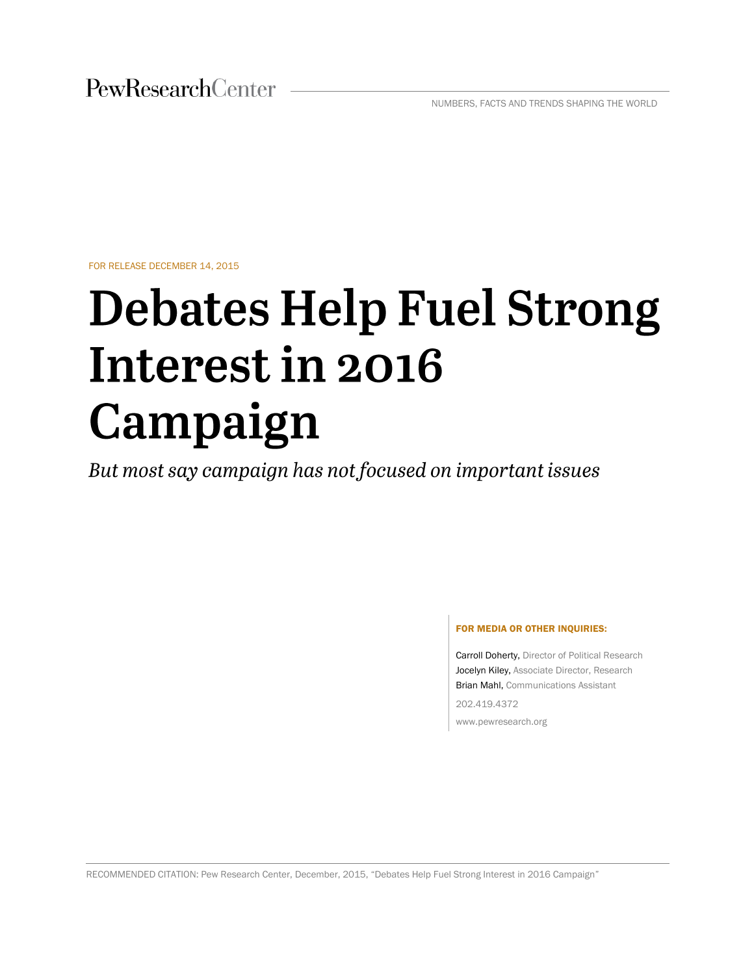NUMBERS, FACTS AND TRENDS SHAPING THE WORLD

FOR RELEASE DECEMBER 14, 2015

# **Debates Help Fuel Strong** Interest in 2016 Campaign

But most say campaign has not focused on important issues

#### FOR MEDIA OR OTHER INQUIRIES:

Carroll Doherty, Director of Political Research Jocelyn Kiley, Associate Director, Research Brian Mahl, Communications Assistant 202.419.4372

www.pewresearch.org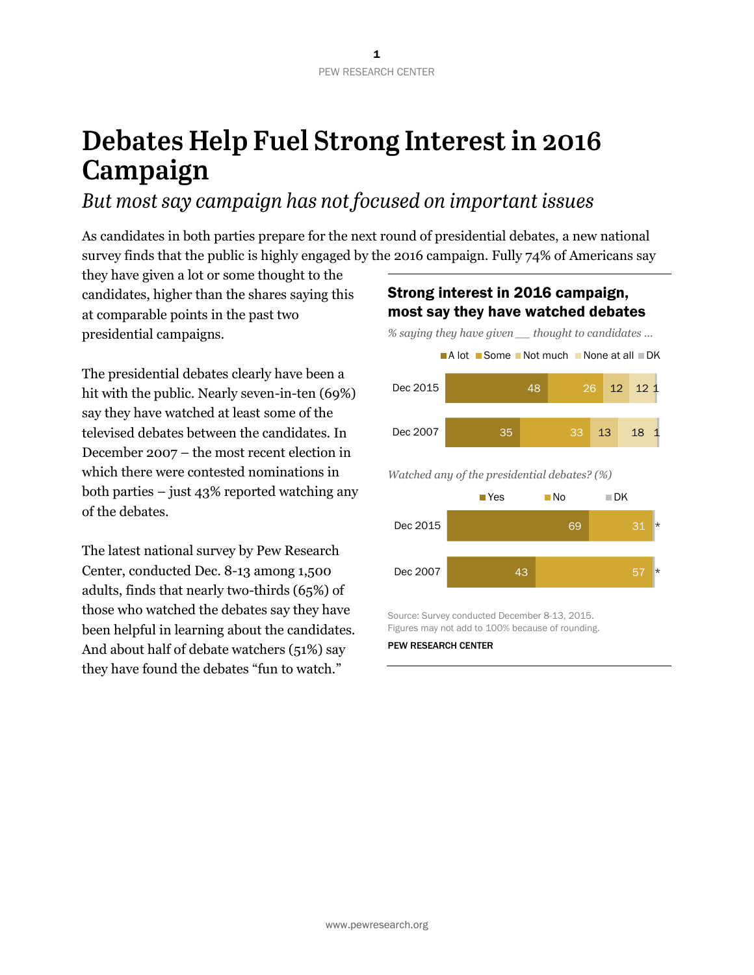# Debates Help Fuel Strong Interest in 2016 Campaign

# But most say campaign has not focused on important issues

As candidates in both parties prepare for the next round of presidential debates, a new national survey finds that the public is highly engaged by the 2016 campaign. Fully 74% of Americans say

they have given a lot or some thought to the candidates, higher than the shares saying this at comparable points in the past two presidential campaigns.

The presidential debates clearly have been a hit with the public. Nearly seven-in-ten (69%) say they have watched at least some of the televised debates between the candidates. In December 2007 – the most recent election in which there were contested nominations in both parties – just 43% reported watching any of the debates.

The latest national survey by Pew Research Center, conducted Dec. 8-13 among 1,500 adults, finds that nearly two-thirds (65%) of those who watched the debates say they have been helpful in learning about the candidates. And about half of debate watchers (51%) say they have found the debates "fun to watch."

# Strong interest in 2016 campaign, most say they have watched debates

*% saying they have given \_\_ thought to candidates …*



*Watched any of the presidential debates? (%)*



Source: Survey conducted December 8-13, 2015. Figures may not add to 100% because of rounding.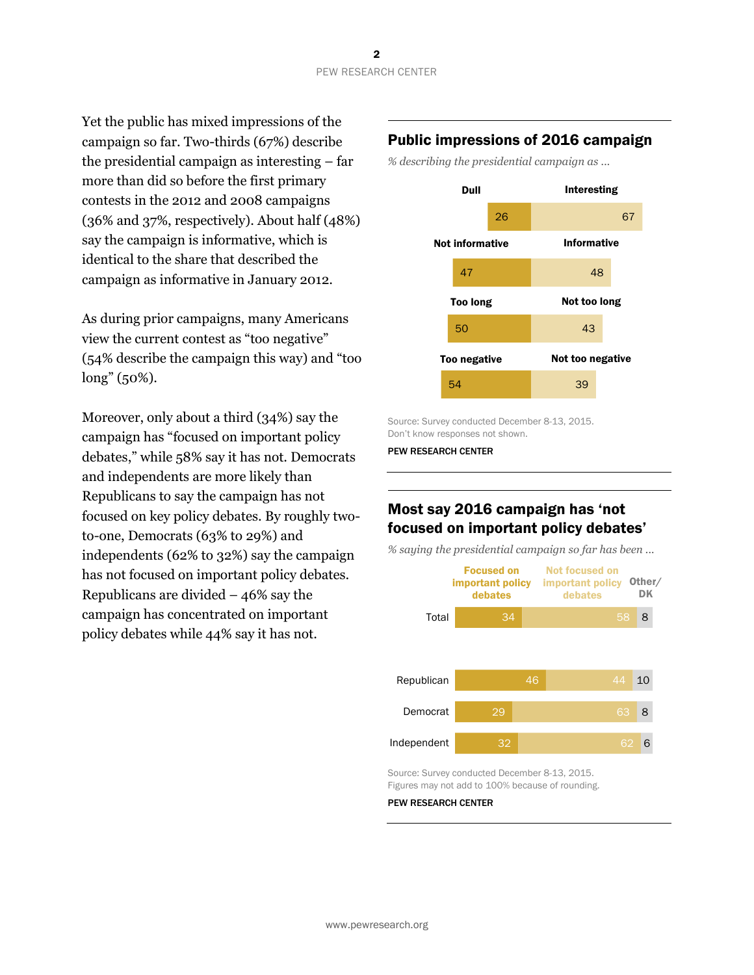Yet the public has mixed impressions of the campaign so far. Two-thirds (67%) describe the presidential campaign as interesting – far more than did so before the first primary contests in the 2012 and 2008 campaigns (36% and 37%, respectively). About half (48%) say the campaign is informative, which is identical to the share that described the campaign as informative in January 2012.

As during prior campaigns, many Americans view the current contest as "too negative" (54% describe the campaign this way) and "too long" (50%).

Moreover, only about a third (34%) say the campaign has "focused on important policy debates," while 58% say it has not. Democrats and independents are more likely than Republicans to say the campaign has not focused on key policy debates. By roughly twoto-one, Democrats (63% to 29%) and independents (62% to 32%) say the campaign has not focused on important policy debates. Republicans are divided – 46% say the campaign has concentrated on important policy debates while 44% say it has not.

## Public impressions of 2016 campaign

*% describing the presidential campaign as ...*



Source: Survey conducted December 8-13, 2015. Don't know responses not shown.

PEW RESEARCH CENTER

# Most say 2016 campaign has 'not focused on important policy debates'

*% saying the presidential campaign so far has been ...*



Source: Survey conducted December 8-13, 2015. Figures may not add to 100% because of rounding.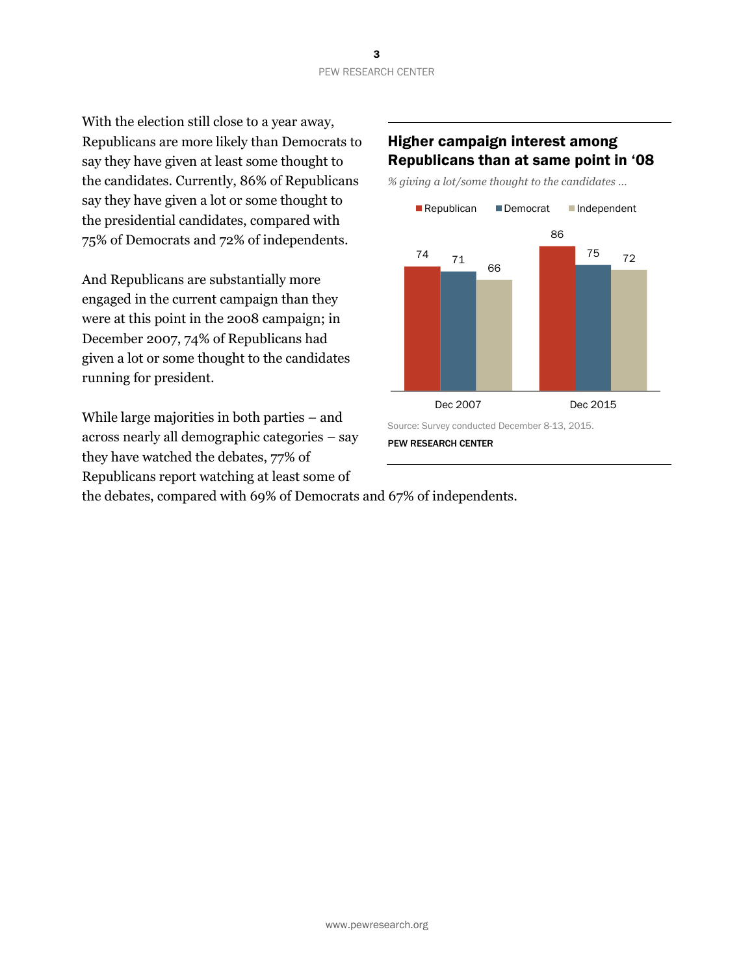With the election still close to a year away, Republicans are more likely than Democrats to say they have given at least some thought to the candidates. Currently, 86% of Republicans say they have given a lot or some thought to the presidential candidates, compared with 75% of Democrats and 72% of independents.

And Republicans are substantially more engaged in the current campaign than they were at this point in the 2008 campaign; in December 2007, 74% of Republicans had given a lot or some thought to the candidates running for president.

While large majorities in both parties – and across nearly all demographic categories – say they have watched the debates, 77% of Republicans report watching at least some of

## Higher campaign interest among Republicans than at same point in '08

*% giving a lot/some thought to the candidates …*



the debates, compared with 69% of Democrats and 67% of independents.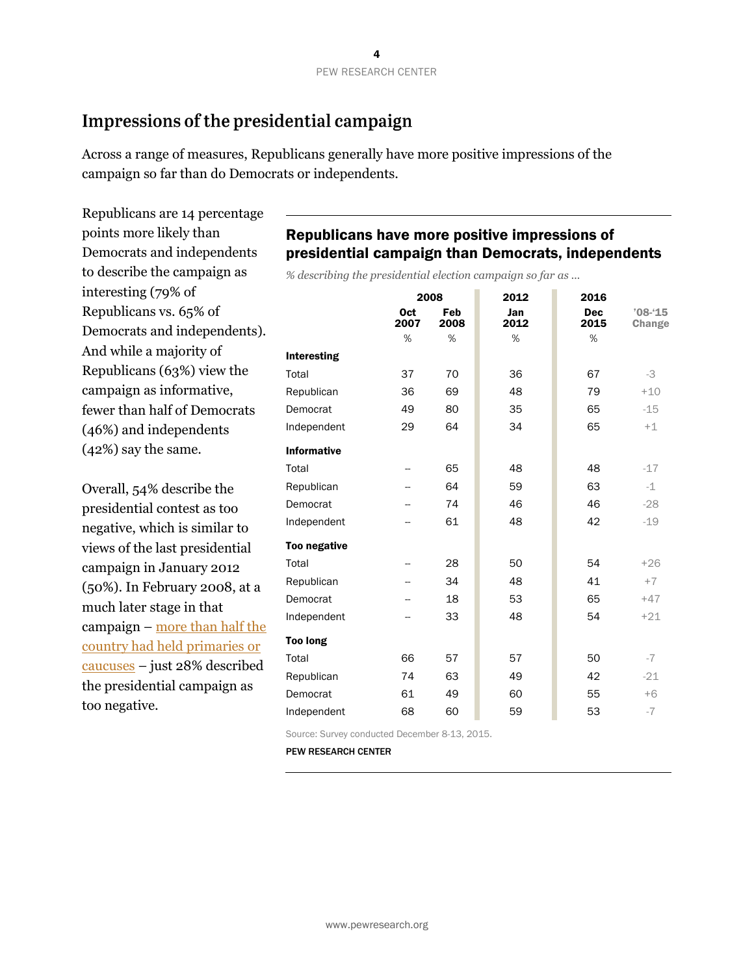# Impressions of the presidential campaign

Across a range of measures, Republicans generally have more positive impressions of the campaign so far than do Democrats or independents.

Republicans are 14 percentage points more likely than Democrats and independents to describe the campaign as interesting (79% of Republicans vs. 65% of Democrats and independents). And while a majority of Republicans (63%) view the campaign as informative, fewer than half of Democrats (46%) and independents (42%) say the same.

Overall, 54% describe the presidential contest as too negative, which is similar to views of the last presidential campaign in January 2012 (50%). In February 2008, at a much later stage in that campaign – [more than half the](http://politics.nytimes.com/election-guide/2008/results/votes/)  [country had held primaries or](http://politics.nytimes.com/election-guide/2008/results/votes/)  [caucuses](http://politics.nytimes.com/election-guide/2008/results/votes/) – just 28% described the presidential campaign as too negative.

# Republicans have more positive impressions of presidential campaign than Democrats, independents

*% describing the presidential election campaign so far as ...*

|                     | 2008               |             | 2012        | 2016               |                      |
|---------------------|--------------------|-------------|-------------|--------------------|----------------------|
|                     | <b>Oct</b><br>2007 | Feb<br>2008 | Jan<br>2012 | <b>Dec</b><br>2015 | $'08 - 15$<br>Change |
|                     | %                  | %           | %           | %                  |                      |
| Interesting         |                    |             |             |                    |                      |
| Total               | 37                 | 70          | 36          | 67                 | -3                   |
| Republican          | 36                 | 69          | 48          | 79                 | $+10$                |
| Democrat            | 49                 | 80          | 35          | 65                 | $-15$                |
| Independent         | 29                 | 64          | 34          | 65                 | $+1$                 |
| <b>Informative</b>  |                    |             |             |                    |                      |
| Total               | --                 | 65          | 48          | 48                 | $-17$                |
| Republican          | --                 | 64          | 59          | 63                 | $-1$                 |
| Democrat            |                    | 74          | 46          | 46                 | $-28$                |
| Independent         |                    | 61          | 48          | 42                 | $-19$                |
| <b>Too negative</b> |                    |             |             |                    |                      |
| Total               |                    | 28          | 50          | 54                 | $+26$                |
| Republican          |                    | 34          | 48          | 41                 | $+7$                 |
| Democrat            |                    | 18          | 53          | 65                 | $+47$                |
| Independent         | -−                 | 33          | 48          | 54                 | $+21$                |
| <b>Too long</b>     |                    |             |             |                    |                      |
| Total               | 66                 | 57          | 57          | 50                 | $-7$                 |
| Republican          | 74                 | 63          | 49          | 42                 | $-21$                |
| Democrat            | 61                 | 49          | 60          | 55                 | $+6$                 |
| Independent         | 68                 | 60          | 59          | 53                 | $-7$                 |

Source: Survey conducted December 8-13, 2015.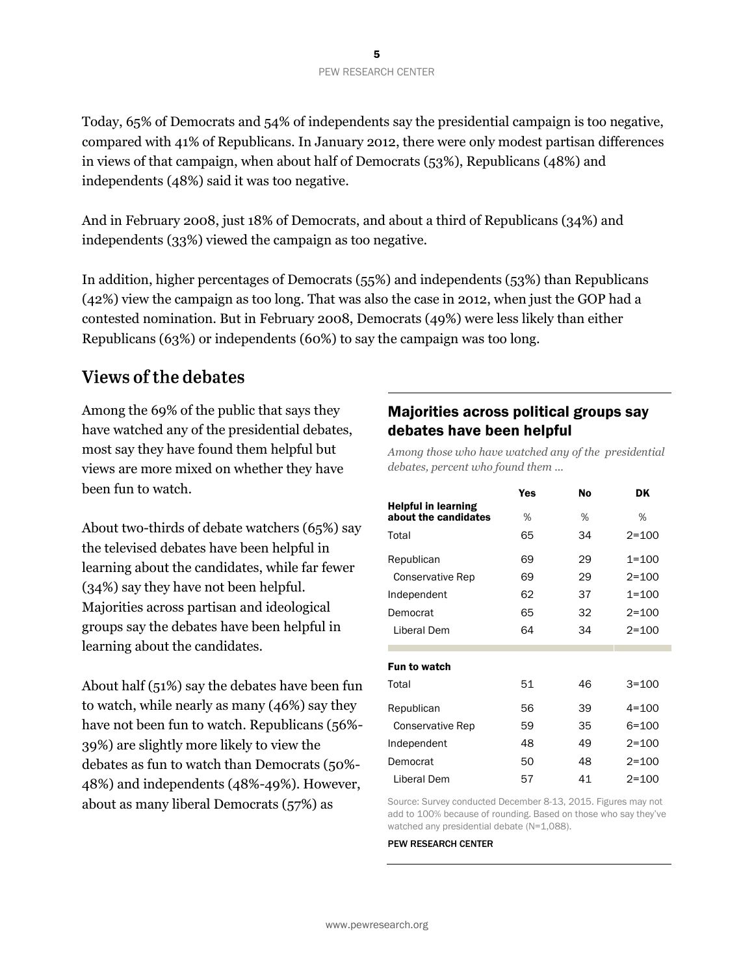Today, 65% of Democrats and 54% of independents say the presidential campaign is too negative, compared with 41% of Republicans. In January 2012, there were only modest partisan differences in views of that campaign, when about half of Democrats (53%), Republicans (48%) and independents (48%) said it was too negative.

And in February 2008, just 18% of Democrats, and about a third of Republicans (34%) and independents (33%) viewed the campaign as too negative.

In addition, higher percentages of Democrats (55%) and independents (53%) than Republicans (42%) view the campaign as too long. That was also the case in 2012, when just the GOP had a contested nomination. But in February 2008, Democrats (49%) were less likely than either Republicans (63%) or independents (60%) to say the campaign was too long.

# Views of the debates

Among the 69% of the public that says they have watched any of the presidential debates, most say they have found them helpful but views are more mixed on whether they have been fun to watch.

About two-thirds of debate watchers (65%) say the televised debates have been helpful in learning about the candidates, while far fewer (34%) say they have not been helpful. Majorities across partisan and ideological groups say the debates have been helpful in learning about the candidates.

About half (51%) say the debates have been fun to watch, while nearly as many (46%) say they have not been fun to watch. Republicans (56%- 39%) are slightly more likely to view the debates as fun to watch than Democrats (50%- 48%) and independents (48%-49%). However, about as many liberal Democrats (57%) as

# Majorities across political groups say debates have been helpful

*Among those who have watched any of the presidential debates, percent who found them ...* 

|                                                    | Yes | <b>No</b> | <b>DK</b> |
|----------------------------------------------------|-----|-----------|-----------|
| <b>Helpful in learning</b><br>about the candidates | %   | %         | %         |
| Total                                              | 65  | 34        | $2 = 100$ |
| Republican                                         | 69  | 29        | $1 = 100$ |
| Conservative Rep                                   | 69  | 29        | $2 = 100$ |
| Independent                                        | 62  | 37        | $1 = 100$ |
| Democrat                                           | 65  | 32        | $2 = 100$ |
| Liberal Dem                                        | 64  | 34        | $2 = 100$ |
| Fun to watch                                       |     |           |           |
| Total                                              | 51  | 46        | $3 = 100$ |
| Republican                                         | 56  | 39        | $4 = 100$ |
| Conservative Rep                                   | 59  | 35        | $6 = 100$ |
| Independent                                        | 48  | 49        | $2 = 100$ |
| Democrat                                           | 50  | 48        | $2 = 100$ |
| Liberal Dem                                        | 57  | 41        | $2 = 100$ |

Source: Survey conducted December 8-13, 2015. Figures may not add to 100% because of rounding. Based on those who say they've watched any presidential debate (N=1,088).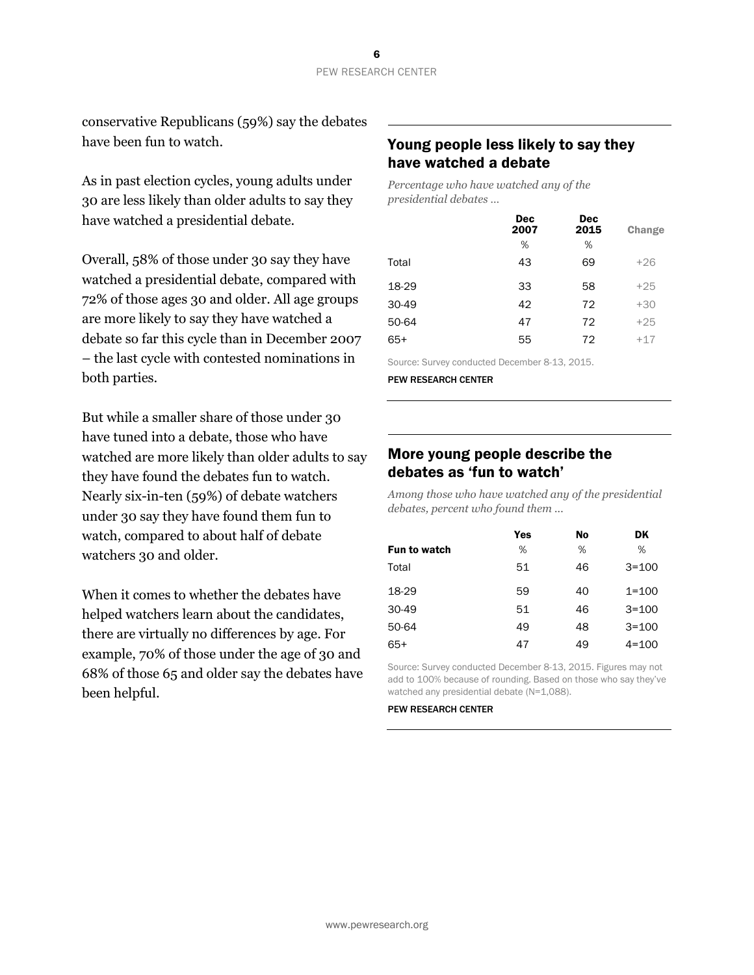conservative Republicans (59%) say the debates have been fun to watch.

As in past election cycles, young adults under 30 are less likely than older adults to say they have watched a presidential debate.

Overall, 58% of those under 30 say they have watched a presidential debate, compared with 72% of those ages 30 and older. All age groups are more likely to say they have watched a debate so far this cycle than in December 2007 – the last cycle with contested nominations in both parties.

But while a smaller share of those under 30 have tuned into a debate, those who have watched are more likely than older adults to say they have found the debates fun to watch. Nearly six-in-ten (59%) of debate watchers under 30 say they have found them fun to watch, compared to about half of debate watchers 30 and older.

When it comes to whether the debates have helped watchers learn about the candidates, there are virtually no differences by age. For example, 70% of those under the age of 30 and 68% of those 65 and older say the debates have been helpful.

# Young people less likely to say they have watched a debate

*Percentage who have watched any of the presidential debates …*

| <b>Dec</b><br>2007 | <b>Dec</b><br>2015 | Change |
|--------------------|--------------------|--------|
| %                  | %                  |        |
| 43                 | 69                 | $+26$  |
| 33                 | 58                 | $+25$  |
| 42                 | 72                 | $+30$  |
| 47                 | 72                 | $+25$  |
| 55                 | 72                 | $+17$  |
|                    |                    |        |

Source: Survey conducted December 8-13, 2015.

PEW RESEARCH CENTER

## More young people describe the debates as 'fun to watch'

*Among those who have watched any of the presidential debates, percent who found them ...*

|              | Yes | No | DK        |
|--------------|-----|----|-----------|
| Fun to watch | %   | %  | %         |
| Total        | 51  | 46 | $3 = 100$ |
| 18-29        | 59  | 40 | $1 = 100$ |
| $30-49$      | 51  | 46 | $3 = 100$ |
| 50-64        | 49  | 48 | $3 = 100$ |
| 65+          | 47  | 49 | $4 = 100$ |

Source: Survey conducted December 8-13, 2015. Figures may not add to 100% because of rounding. Based on those who say they've watched any presidential debate (N=1,088).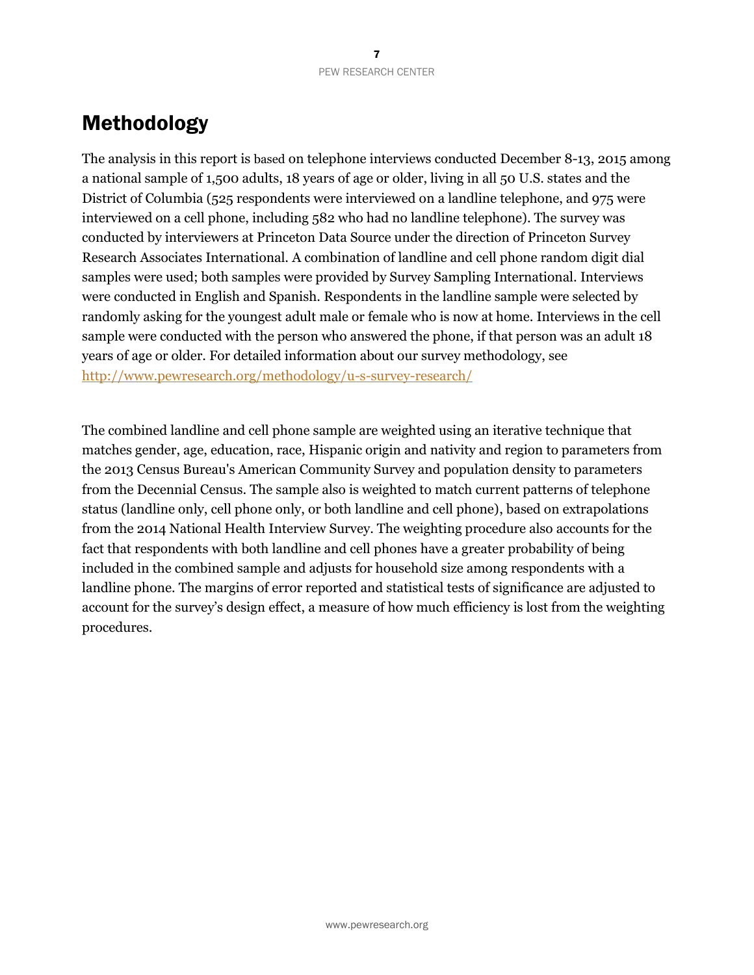# Methodology

The analysis in this report is based on telephone interviews conducted December 8-13, 2015 among a national sample of 1,500 adults, 18 years of age or older, living in all 50 U.S. states and the District of Columbia (525 respondents were interviewed on a landline telephone, and 975 were interviewed on a cell phone, including 582 who had no landline telephone). The survey was conducted by interviewers at Princeton Data Source under the direction of Princeton Survey Research Associates International. A combination of landline and cell phone random digit dial samples were used; both samples were provided by Survey Sampling International. Interviews were conducted in English and Spanish. Respondents in the landline sample were selected by randomly asking for the youngest adult male or female who is now at home. Interviews in the cell sample were conducted with the person who answered the phone, if that person was an adult 18 years of age or older. For detailed information about our survey methodology, see <http://www.pewresearch.org/methodology/u-s-survey-research/>

The combined landline and cell phone sample are weighted using an iterative technique that matches gender, age, education, race, Hispanic origin and nativity and region to parameters from the 2013 Census Bureau's American Community Survey and population density to parameters from the Decennial Census. The sample also is weighted to match current patterns of telephone status (landline only, cell phone only, or both landline and cell phone), based on extrapolations from the 2014 National Health Interview Survey. The weighting procedure also accounts for the fact that respondents with both landline and cell phones have a greater probability of being included in the combined sample and adjusts for household size among respondents with a landline phone. The margins of error reported and statistical tests of significance are adjusted to account for the survey's design effect, a measure of how much efficiency is lost from the weighting procedures.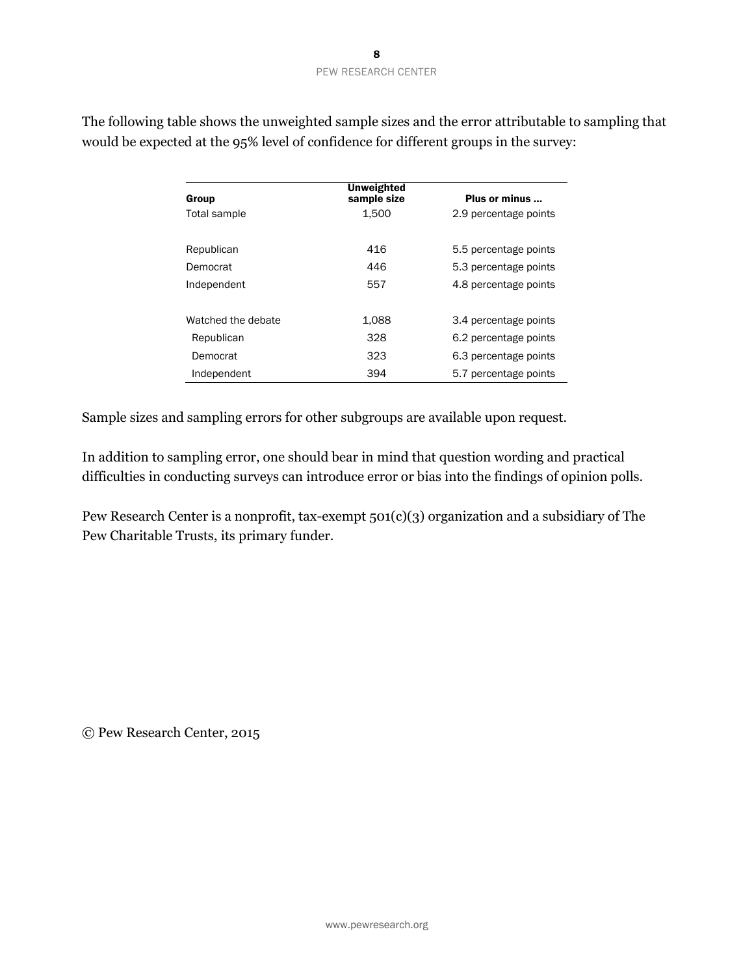| Group              | Unweighted<br>sample size | Plus or minus         |
|--------------------|---------------------------|-----------------------|
| Total sample       | 1.500                     | 2.9 percentage points |
| Republican         | 416                       | 5.5 percentage points |
| Democrat           | 446                       | 5.3 percentage points |
| Independent        | 557                       | 4.8 percentage points |
| Watched the debate | 1.088                     | 3.4 percentage points |
| Republican         | 328                       | 6.2 percentage points |
| Democrat           | 323                       | 6.3 percentage points |
| Independent        | 394                       | 5.7 percentage points |

The following table shows the unweighted sample sizes and the error attributable to sampling that would be expected at the 95% level of confidence for different groups in the survey:

Sample sizes and sampling errors for other subgroups are available upon request.

In addition to sampling error, one should bear in mind that question wording and practical difficulties in conducting surveys can introduce error or bias into the findings of opinion polls.

Pew Research Center is a nonprofit, tax-exempt 501(c)(3) organization and a subsidiary of The Pew Charitable Trusts, its primary funder.

© Pew Research Center, 2015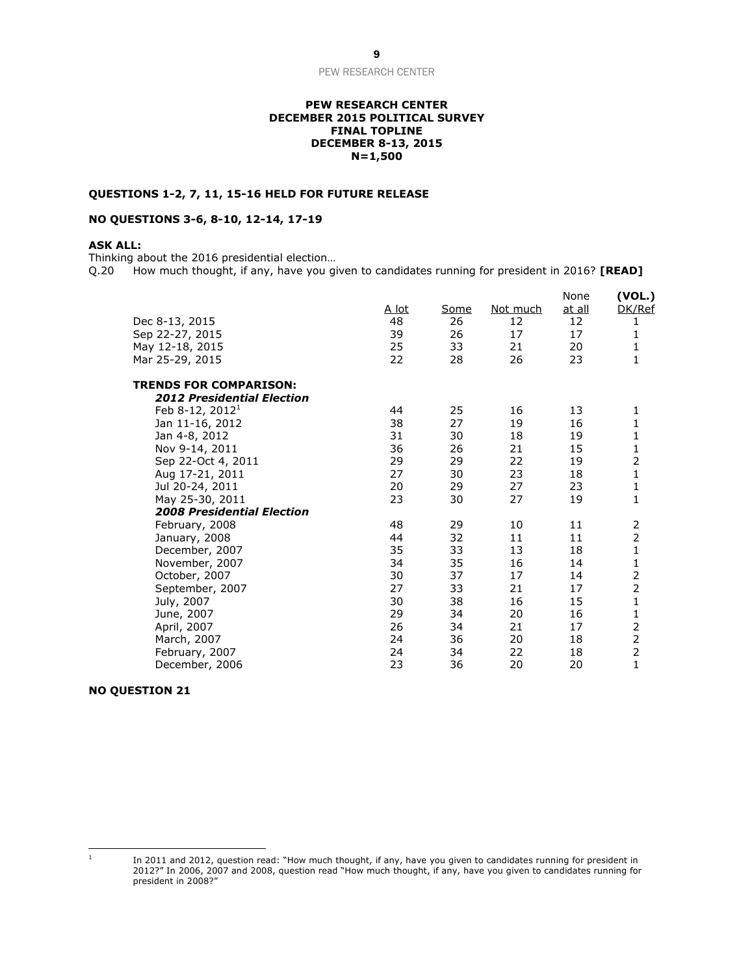#### **PEW RESEARCH CENTER DECEMBER 2015 POLITICAL SURVEY FINAL TOPLINE DECEMBER 8-13, 2015 N=1,500**

#### **QUESTIONS 1-2, 7, 11, 15-16 HELD FOR FUTURE RELEASE**

#### **NO QUESTIONS 3-6, 8-10, 12-14, 17-19**

#### **ASK ALL:**

Thinking about the 2016 presidential election...<br>Q.20 How much thought, if any, have you gi How much thought, if any, have you given to candidates running for president in 2016? **[READ]** 

| Dec 8-13, 2015<br>Sep 22-27, 2015<br>May 12-18, 2015<br>Mar 25-29, 2015 | <u>A lot</u><br>48<br>39<br>25<br>22 | Some<br>26<br>26<br>33<br>28 | <u>Not much</u><br>12<br>17<br>21<br>26 | None<br><u>at all</u><br>12<br>17<br>20<br>23 | (VOL.)<br>DK/Ref<br>1<br>$\mathbf{1}$<br>1<br>$\mathbf{1}$ |
|-------------------------------------------------------------------------|--------------------------------------|------------------------------|-----------------------------------------|-----------------------------------------------|------------------------------------------------------------|
| <b>TRENDS FOR COMPARISON:</b>                                           |                                      |                              |                                         |                                               |                                                            |
| <b>2012 Presidential Election</b>                                       |                                      |                              |                                         |                                               |                                                            |
| Feb 8-12, 2012 <sup>1</sup>                                             | 44<br>38                             | 25<br>27                     | 16                                      | 13<br>16                                      | 1                                                          |
| Jan 11-16, 2012                                                         | 31                                   | 30                           | 19<br>18                                | 19                                            | 1<br>$\mathbf 1$                                           |
| Jan 4-8, 2012<br>Nov 9-14, 2011                                         | 36                                   | 26                           | 21                                      | 15                                            | 1                                                          |
| Sep 22-Oct 4, 2011                                                      | 29                                   | 29                           | 22                                      | 19                                            | $\overline{c}$                                             |
| Aug 17-21, 2011                                                         | 27                                   | 30                           | 23                                      | 18                                            | $\mathbf{1}$                                               |
| Jul 20-24, 2011                                                         | 20                                   | 29                           | 27                                      | 23                                            | $\mathbf{1}$                                               |
| May 25-30, 2011                                                         | 23                                   | 30                           | 27                                      | 19                                            | $\mathbf{1}$                                               |
| <b>2008 Presidential Election</b>                                       |                                      |                              |                                         |                                               |                                                            |
| February, 2008                                                          | 48                                   | 29                           | 10                                      | 11                                            | 2                                                          |
| January, 2008                                                           | 44                                   | 32                           | 11                                      | 11                                            | $\overline{2}$                                             |
| December, 2007                                                          | 35                                   | 33                           | 13                                      | 18                                            | $\mathbf 1$                                                |
| November, 2007                                                          | 34                                   | 35                           | 16                                      | 14                                            | $\mathbf{1}$                                               |
| October, 2007                                                           | 30                                   | 37                           | 17                                      | 14                                            | $\overline{c}$                                             |
| September, 2007                                                         | 27                                   | 33                           | 21                                      | 17                                            | $\overline{2}$                                             |
| July, 2007                                                              | 30                                   | 38                           | 16                                      | 15                                            | 1                                                          |
| June, 2007                                                              | 29                                   | 34                           | 20                                      | 16                                            | $\mathbf{1}$                                               |
| April, 2007                                                             | 26                                   | 34                           | 21                                      | 17                                            | $\mathbf 2$                                                |
| March, 2007                                                             | 24                                   | 36                           | 20                                      | 18                                            | $\overline{2}$                                             |
| February, 2007                                                          | 24                                   | 34                           | 22                                      | 18                                            | $\overline{2}$                                             |
| December, 2006                                                          | 23                                   | 36                           | 20                                      | 20                                            | $\mathbf{1}$                                               |

#### **NO QUESTION 21**

 $\frac{1}{1}$ 

In 2011 and 2012, question read: "How much thought, if any, have you given to candidates running for president in 2012?" In 2006, 2007 and 2008, question read "How much thought, if any, have you given to candidates running for president in 2008?"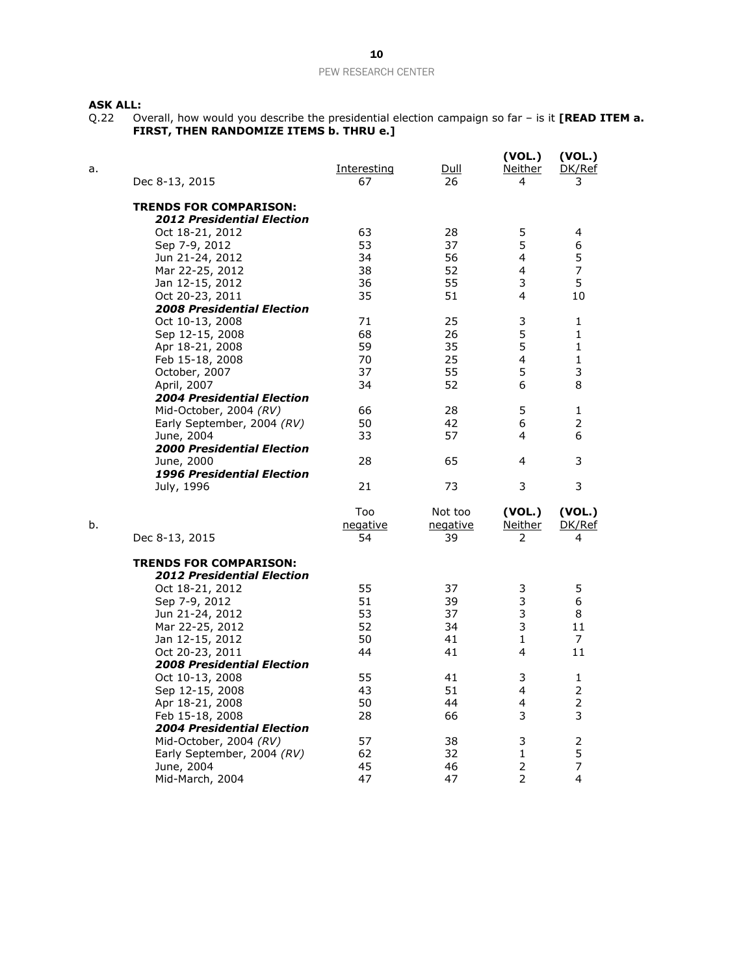#### **ASK ALL:**

Q.22 Overall, how would you describe the presidential election campaign so far – is it **[READ ITEM a. FIRST, THEN RANDOMIZE ITEMS b. THRU e.]**

| a. | Dec 8-13, 2015                    | <u>Interesting</u><br>67 | Dull<br>26 | (VOL.)<br>Neither<br>4 | (VOL.)<br>DK/Ref<br>3 |
|----|-----------------------------------|--------------------------|------------|------------------------|-----------------------|
|    | <b>TRENDS FOR COMPARISON:</b>     |                          |            |                        |                       |
|    | <b>2012 Presidential Election</b> |                          |            |                        |                       |
|    | Oct 18-21, 2012                   | 63                       | 28         | 5                      | 4                     |
|    | Sep 7-9, 2012                     | 53                       | 37         | 5                      | 6                     |
|    | Jun 21-24, 2012                   | 34                       | 56         | 4                      | 5                     |
|    | Mar 22-25, 2012                   | 38                       | 52         | $\overline{4}$         | $\overline{7}$        |
|    | Jan 12-15, 2012                   | 36                       | 55         | 3                      | 5                     |
|    | Oct 20-23, 2011                   | 35                       | 51         | 4                      | 10                    |
|    | <b>2008 Presidential Election</b> |                          |            |                        |                       |
|    | Oct 10-13, 2008                   | 71                       | 25         | 3                      | 1                     |
|    | Sep 12-15, 2008                   | 68                       | 26         | 5                      | $\mathbf{1}$          |
|    | Apr 18-21, 2008                   | 59                       | 35         | 5                      | $\mathbf{1}$          |
|    | Feb 15-18, 2008                   | 70                       | 25         | 4                      | 1                     |
|    | October, 2007                     | 37                       | 55         | 5                      | 3                     |
|    | April, 2007                       | 34                       | 52         | 6                      | 8                     |
|    | <b>2004 Presidential Election</b> |                          |            |                        |                       |
|    | Mid-October, 2004 (RV)            | 66                       | 28         | 5                      | 1                     |
|    | Early September, 2004 (RV)        | 50                       | 42         | 6                      | 2                     |
|    | June, 2004                        | 33                       | 57         | 4                      | 6                     |
|    | <b>2000 Presidential Election</b> |                          |            |                        |                       |
|    | June, 2000                        | 28                       | 65         | 4                      | 3                     |
|    | <b>1996 Presidential Election</b> |                          |            |                        |                       |
|    | July, 1996                        | 21                       | 73         | 3                      | 3                     |
|    |                                   | Too                      | Not too    | (VOL.)                 | (VOL.)                |
| b. |                                   | negative                 | negative   | <u>Neither</u>         | DK/Ref                |
|    | Dec 8-13, 2015                    | 54                       | 39         | 2                      | 4                     |
|    | <b>TRENDS FOR COMPARISON:</b>     |                          |            |                        |                       |
|    | <b>2012 Presidential Election</b> |                          |            |                        |                       |
|    | Oct 18-21, 2012                   | 55                       | 37         | 3                      | 5                     |
|    | Sep 7-9, 2012                     | 51                       | 39         | 3                      | 6                     |
|    | Jun 21-24, 2012                   | 53                       | 37         | 3                      | 8                     |
|    | Mar 22-25, 2012                   | 52                       | 34         | 3                      | 11                    |
|    | Jan 12-15, 2012                   | 50                       | 41         | 1                      | 7                     |
|    | Oct 20-23, 2011                   | 44                       | 41         | 4                      | 11                    |
|    | <b>2008 Presidential Election</b> |                          |            |                        |                       |
|    | Oct 10-13, 2008                   | 55                       | 41         | 3                      | 1                     |
|    | Sep 12-15, 2008                   | 43                       | 51         | 4                      | $\overline{2}$        |
|    | Apr 18-21, 2008                   | 50                       | 44         | 4                      | $\mathbf 2$           |
|    | Feb 15-18, 2008                   | 28                       | 66         | 3                      | 3                     |
|    | <b>2004 Presidential Election</b> |                          |            |                        |                       |
|    | Mid-October, 2004 (RV)            | 57                       | 38         | 3                      | $\overline{c}$        |
|    | Early September, 2004 (RV)        | 62                       | 32         | 1                      | 5                     |
|    | June, 2004                        | 45                       | 46         | $\overline{2}$         | $\overline{7}$        |
|    | Mid-March, 2004                   | 47                       | 47         | 2                      | 4                     |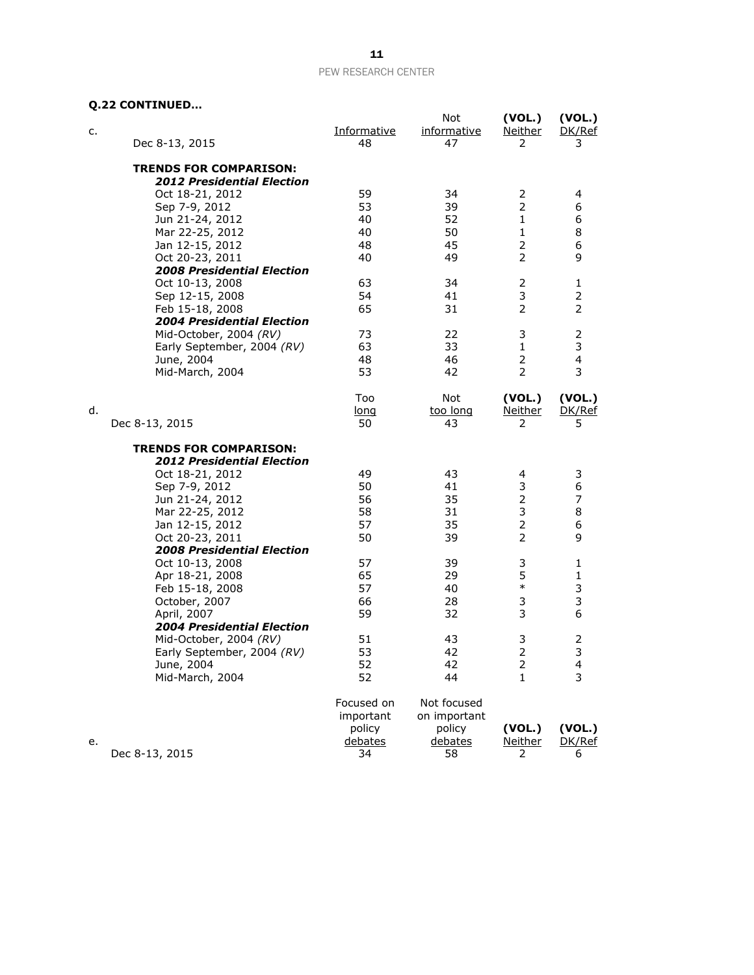## **Q.22 CONTINUED…**

| c. | Dec 8-13, 2015                    | Informative<br>48 | Not<br><i>informative</i><br>47 | (VOL.)<br><b>Neither</b><br>2 | (VOL.)<br>DK/Ref<br>3 |
|----|-----------------------------------|-------------------|---------------------------------|-------------------------------|-----------------------|
|    | <b>TRENDS FOR COMPARISON:</b>     |                   |                                 |                               |                       |
|    | <b>2012 Presidential Election</b> |                   |                                 |                               |                       |
|    | Oct 18-21, 2012                   | 59                | 34                              | $\overline{2}$                | 4                     |
|    | Sep 7-9, 2012                     | 53                | 39                              | $\overline{2}$                | 6                     |
|    | Jun 21-24, 2012                   | 40                | 52                              | $\mathbf{1}$                  | 6                     |
|    | Mar 22-25, 2012                   | 40                | 50                              | $\mathbf{1}$                  | 8                     |
|    | Jan 12-15, 2012                   | 48                | 45                              | $\overline{2}$                | 6                     |
|    | Oct 20-23, 2011                   | 40                | 49                              | $\overline{2}$                | 9                     |
|    | <b>2008 Presidential Election</b> |                   |                                 |                               |                       |
|    | Oct 10-13, 2008                   | 63                | 34                              | 2                             | 1                     |
|    | Sep 12-15, 2008                   | 54                | 41                              | 3                             | 2                     |
|    | Feb 15-18, 2008                   | 65                | 31                              | $\overline{2}$                | 2                     |
|    | <b>2004 Presidential Election</b> |                   |                                 |                               |                       |
|    | Mid-October, 2004 (RV)            | 73                | 22                              | 3                             | 2                     |
|    | Early September, 2004 (RV)        | 63                | 33                              | $\mathbf{1}$                  | 3                     |
|    | June, 2004                        | 48                | 46                              | 2                             | 4                     |
|    | Mid-March, 2004                   | 53                | 42                              | $\overline{2}$                | 3                     |
|    |                                   | Too               | Not                             | (VOL.)                        | (VOL.)                |
| d. |                                   | long              | too long                        | <u>Neither</u>                | DK/Ref                |
|    | Dec 8-13, 2015                    | 50                | 43                              | 2                             | 5                     |
|    | <b>TRENDS FOR COMPARISON:</b>     |                   |                                 |                               |                       |
|    | <b>2012 Presidential Election</b> |                   |                                 |                               |                       |
|    | Oct 18-21, 2012                   | 49                | 43                              | 4                             | 3                     |
|    | Sep 7-9, 2012                     | 50                | 41                              | 3                             | 6                     |
|    | Jun 21-24, 2012                   | 56                | 35                              | $\overline{2}$                | 7                     |
|    | Mar 22-25, 2012                   | 58                | 31                              | 3                             | 8                     |
|    | Jan 12-15, 2012                   | 57                | 35                              | $\overline{2}$                | 6                     |
|    | Oct 20-23, 2011                   | 50                | 39                              | 2                             | 9                     |
|    | <b>2008 Presidential Election</b> |                   |                                 |                               |                       |
|    | Oct 10-13, 2008                   | 57                | 39                              | 3                             | 1                     |
|    | Apr 18-21, 2008                   | 65                | 29                              | 5                             | 1                     |
|    | Feb 15-18, 2008                   | 57                | 40                              | $\ast$                        | 3                     |
|    | October, 2007                     | 66                | 28                              | 3                             | 3                     |
|    | April, 2007                       | 59                | 32                              | 3                             | 6                     |
|    | <b>2004 Presidential Election</b> |                   |                                 |                               |                       |
|    | Mid-October, 2004 (RV)            | 51                | 43                              | 3                             | 2                     |
|    | Early September, 2004 (RV)        | 53                | 42                              | $\overline{2}$                | 3                     |
|    | June, 2004                        | 52                | 42                              | $\overline{2}$                | 4                     |
|    | Mid-March, 2004                   | 52                | 44                              | 1                             | 3                     |
|    |                                   | Focused on        | Not focused                     |                               |                       |
|    |                                   | important         | on important                    |                               |                       |
|    |                                   | policy            | policy                          | (VOL.)                        | (VOL.)                |
| е. |                                   | debates           | debates                         | <u>Neither</u>                | DK/Ref                |
|    | Dec 8-13, 2015                    | 34                | 58                              | 2                             | 6                     |
|    |                                   |                   |                                 |                               |                       |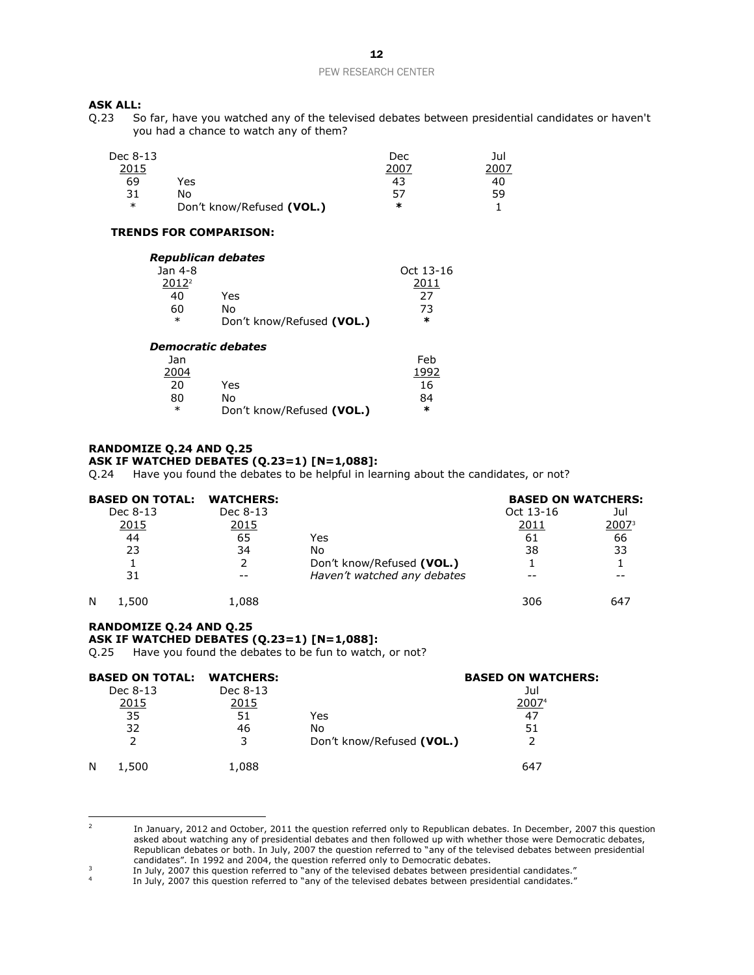# **ASK ALL:**<br>Q.23 So

So far, have you watched any of the televised debates between presidential candidates or haven't you had a chance to watch any of them?

| Dec 8-13 |                           | Dec  | Jul |
|----------|---------------------------|------|-----|
| 2015     |                           | 2007 |     |
| 69       | Yes                       | 43   | 40  |
| 31       | No                        | 57   | 59  |
| $\ast$   | Don't know/Refused (VOL.) | ∗    |     |

#### **TRENDS FOR COMPARISON:**

|                   | Republican debates        |           |
|-------------------|---------------------------|-----------|
| Jan 4-8           |                           | Oct 13-16 |
| 2012 <sup>2</sup> |                           | 2011      |
| 40                | Yes                       | 27        |
| 60                | N٥                        | 73        |
| $\ast$            | Don't know/Refused (VOL.) | ∗         |
|                   |                           |           |

#### *Democratic debates*

| Jan    |                           | Feb  |
|--------|---------------------------|------|
| 2004   |                           | 1992 |
| 20     | Yes                       | 16   |
| 80     | N٥                        | 84   |
| $\ast$ | Don't know/Refused (VOL.) | ×    |

#### **RANDOMIZE Q.24 AND Q.25 ASK IF WATCHED DEBATES (Q.23=1) [N=1,088]:**

Q.24 Have you found the debates to be helpful in learning about the candidates, or not?

| <b>BASED ON TOTAL:</b> | <b>WATCHERS:</b> |                             | <b>BASED ON WATCHERS:</b> |       |
|------------------------|------------------|-----------------------------|---------------------------|-------|
| Dec 8-13               | Dec 8-13         |                             | Oct 13-16                 | Jul   |
| <u>2015</u>            | <u>2015</u>      |                             | 2011                      | 200Z3 |
| 44                     | 65               | Yes                         | 61                        | 66    |
| 23                     | 34               | No                          | 38                        | 33    |
|                        |                  | Don't know/Refused (VOL.)   |                           |       |
| 31                     |                  | Haven't watched any debates |                           |       |
| N<br>.,500             | 1,088            |                             | 306                       | 647   |

#### **RANDOMIZE Q.24 AND Q.25 ASK IF WATCHED DEBATES (Q.23=1) [N=1,088]:**

Q.25 Have you found the debates to be fun to watch, or not?

| <b>BASED ON TOTAL: WATCHERS:</b> |          | <b>BASED ON WATCHERS:</b> |       |  |  |  |
|----------------------------------|----------|---------------------------|-------|--|--|--|
| Dec 8-13                         | Dec 8-13 |                           | Jul   |  |  |  |
| 2015                             | 2015     |                           | 20074 |  |  |  |
| 35                               | 51       | Yes                       | 47    |  |  |  |
| 32                               | 46       | No                        | 51    |  |  |  |
|                                  |          | Don't know/Refused (VOL.) |       |  |  |  |
| N<br>1,500                       | 1,088    |                           | 647   |  |  |  |

 $\frac{1}{2}$ In January, 2012 and October, 2011 the question referred only to Republican debates. In December, 2007 this question asked about watching any of presidential debates and then followed up with whether those were Democratic debates, Republican debates or both. In July, 2007 the question referred to "any of the televised debates between presidential candidates". In 1992 and 2004, the question referred only to Democratic debates.

<sup>3</sup> In July, 2007 this question referred to "any of the televised debates between presidential candidates."

<sup>4</sup> In July, 2007 this question referred to "any of the televised debates between presidential candidates."